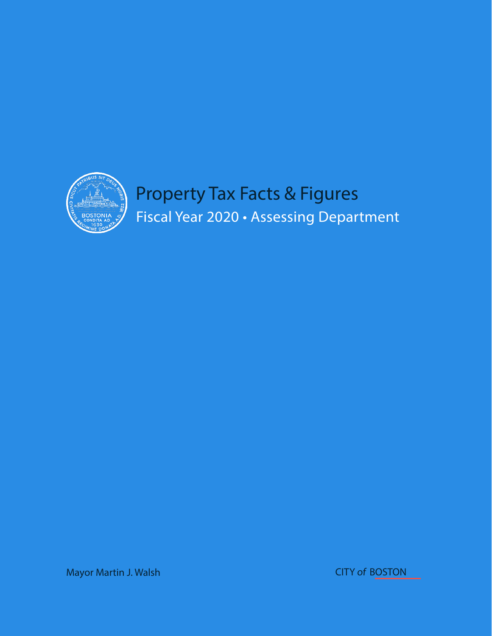

Mayor Martin J. Walsh CITY ofBOSTON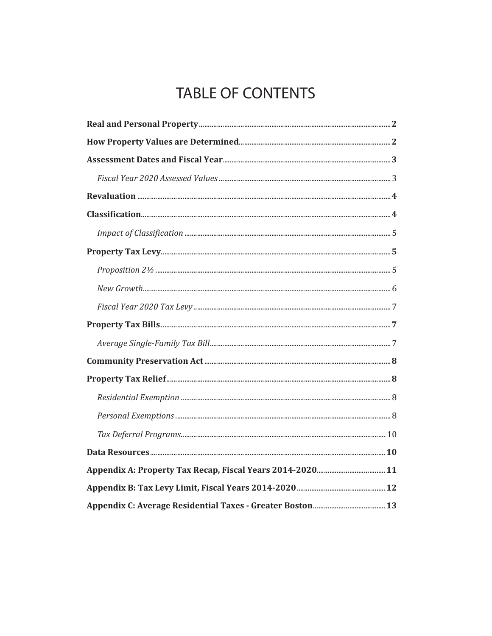# **TABLE OF CONTENTS**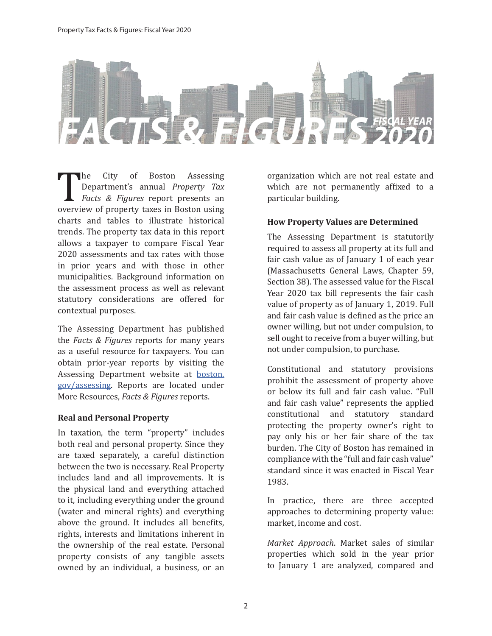

The City of Boston Assessing<br>Department's annual *Property Tax*<br>Facts & Figures report presents an<br>overview of property taxes in Boston using<br>charts and tables to illustrate historical Department's annual *Property Tax Facts & Figures* report presents an overview of property taxes in Boston using charts and tables to illustrate historical trends. The property tax data in this report allows a taxpayer to compare Fiscal Year 2020 assessments and tax rates with those in prior years and with those in other municipalities. Background information on the assessment process as well as relevant statutory considerations are offered for contextual purposes.

The Assessing Department has published the *Facts & Figures* reports for many years as a useful resource for taxpayers. You can obtain prior-year reports by visiting the Assessing Department website at boston. gov/assessing. Reports are located under More Resources, *Facts & Figures* reports.

#### **Real and Personal Property**

In taxation, the term "property" includes both real and personal property. Since they are taxed separately, a careful distinction between the two is necessary. Real Property includes land and all improvements. It is the physical land and everything attached to it, including everything under the ground (water and mineral rights) and everything above the ground. It includes all benefits, rights, interests and limitations inherent in the ownership of the real estate. Personal property consists of any tangible assets owned by an individual, a business, or an organization which are not real estate and which are not permanently affixed to a particular building.

## **How Property Values are Determined**

The Assessing Department is statutorily required to assess all property at its full and fair cash value as of January 1 of each year (Massachusetts General Laws, Chapter 59, Section 38). The assessed value for the Fiscal Year 2020 tax bill represents the fair cash value of property as of January 1, 2019. Full and fair cash value is defined as the price an owner willing, but not under compulsion, to sell ought to receive from a buyer willing, but not under compulsion, to purchase.

Constitutional and statutory provisions prohibit the assessment of property above or below its full and fair cash value. "Full and fair cash value" represents the applied constitutional and statutory standard protecting the property owner's right to pay only his or her fair share of the tax burden. The City of Boston has remained in compliance with the "full and fair cash value" standard since it was enacted in Fiscal Year 1983.

In practice, there are three accepted approaches to determining property value: market, income and cost.

*Market Approach*. Market sales of similar properties which sold in the year prior to January 1 are analyzed, compared and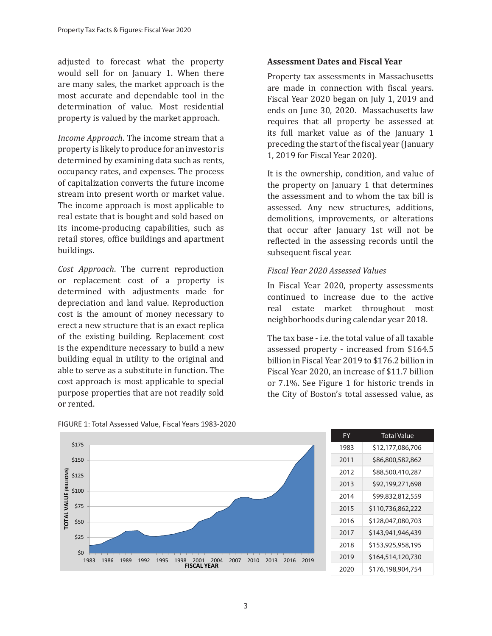adjusted to forecast what the property would sell for on January 1. When there are many sales, the market approach is the most accurate and dependable tool in the determination of value. Most residential property is valued by the market approach.

*Income Approach*. The income stream that a property is likely to produce for an investor is determined by examining data such as rents, occupancy rates, and expenses. The process of capitalization converts the future income stream into present worth or market value. The income approach is most applicable to real estate that is bought and sold based on its income-producing capabilities, such as retail stores, office buildings and apartment buildings.

*Cost Approach*. The current reproduction or replacement cost of a property is determined with adjustments made for depreciation and land value. Reproduction cost is the amount of money necessary to erect a new structure that is an exact replica of the existing building. Replacement cost is the expenditure necessary to build a new building equal in utility to the original and able to serve as a substitute in function. The cost approach is most applicable to special purpose properties that are not readily sold or rented.

#### **Assessment Dates and Fiscal Year**

Property tax assessments in Massachusetts are made in connection with fiscal years. Fiscal Year 2020 began on July 1, 2019 and ends on June 30, 2020. Massachusetts law requires that all property be assessed at its full market value as of the January 1 preceding the start of the fiscal year (January 1, 2019 for Fiscal Year 2020).

It is the ownership, condition, and value of the property on January 1 that determines the assessment and to whom the tax bill is assessed. Any new structures, additions, demolitions, improvements, or alterations that occur after January 1st will not be reflected in the assessing records until the subsequent fiscal year.

## *Fiscal Year 2020 Assessed Values*

In Fiscal Year 2020, property assessments continued to increase due to the active real estate market throughout most neighborhoods during calendar year 2018.

The tax base - i.e. the total value of all taxable assessed property - increased from \$164.5 billion in Fiscal Year 2019 to \$176.2 billion in Fiscal Year 2020, an increase of \$11.7 billion or 7.1%. See Figure 1 for historic trends in the City of Boston's total assessed value, as



FIGURE 1: Total Assessed Value, Fiscal Years 1983-2020

| FY   | <b>Total Value</b> |
|------|--------------------|
| 1983 | \$12,177,086,706   |
| 2011 | \$86,800,582,862   |
| 2012 | \$88,500,410,287   |
| 2013 | \$92,199,271,698   |
| 2014 | \$99,832,812,559   |
| 2015 | \$110,736,862,222  |
| 2016 | \$128,047,080,703  |
| 2017 | \$143,941,946,439  |
| 2018 | \$153,925,958,195  |
| 2019 | \$164,514,120,730  |
| 2020 | \$176,198,904,754  |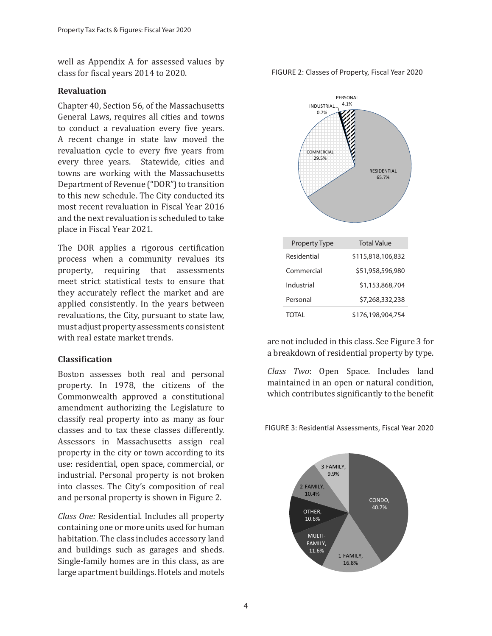well as Appendix A for assessed values by class for fiscal years 2014 to 2020.

#### **Revaluation**

Chapter 40, Section 56, of the Massachusetts General Laws, requires all cities and towns to conduct a revaluation every five years. A recent change in state law moved the revaluation cycle to every five years from every three years. Statewide, cities and towns are working with the Massachusetts Department of Revenue ("DOR") to transition to this new schedule. The City conducted its most recent revaluation in Fiscal Year 2016 and the next revaluation is scheduled to take place in Fiscal Year 2021.

The DOR applies a rigorous certification process when a community revalues its property, requiring that assessments meet strict statistical tests to ensure that they accurately reflect the market and are applied consistently. In the years between revaluations, the City, pursuant to state law, must adjust property assessments consistent with real estate market trends.

#### **Classification**

Boston assesses both real and personal property. In 1978, the citizens of the Commonwealth approved a constitutional amendment authorizing the Legislature to classify real property into as many as four classes and to tax these classes differently. Assessors in Massachusetts assign real property in the city or town according to its use: residential, open space, commercial, or industrial. Personal property is not broken into classes. The City's composition of real and personal property is shown in Figure 2.

*Class One:* Residential. Includes all property containing one or more units used for human habitation. The class includes accessory land and buildings such as garages and sheds. Single-family homes are in this class, as are large apartment buildings. Hotels and motels

FIGURE 2: Classes of Property, Fiscal Year 2020



are not included in this class. See Figure 3 for a breakdown of residential property by type.

*Class Two*: Open Space. Includes land maintained in an open or natural condition, which contributes significantly to the benefit

FIGURE 3: Residential Assessments, Fiscal Year 2020

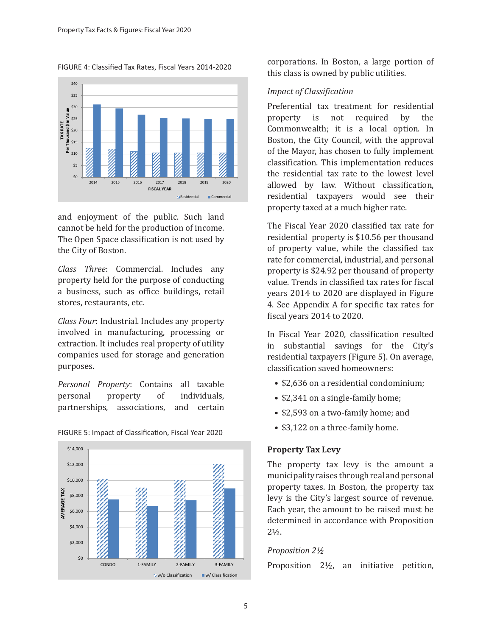FIGURE 4: Classified Tax Rates, Fiscal Years 2014-2020



and enjoyment of the public. Such land cannot be held for the production of income. The Open Space classification is not used by the City of Boston.

*Class Three*: Commercial. Includes any property held for the purpose of conducting a business, such as office buildings, retail stores, restaurants, etc.

*Class Four*: Industrial. Includes any property involved in manufacturing, processing or extraction. It includes real property of utility companies used for storage and generation purposes.

*Personal Property*: Contains all taxable personal property of individuals, partnerships, associations, and certain



FIGURE 5: Impact of Classification, Fiscal Year 2020

corporations. In Boston, a large portion of this class is owned by public utilities.

# *Impact of Classification*

Preferential tax treatment for residential property is not required by the Commonwealth; it is a local option. In Boston, the City Council, with the approval of the Mayor, has chosen to fully implement classification. This implementation reduces the residential tax rate to the lowest level allowed by law. Without classification, residential taxpayers would see their property taxed at a much higher rate.

The Fiscal Year 2020 classified tax rate for residential property is \$10.56 per thousand of property value, while the classified tax rate for commercial, industrial, and personal property is \$24.92 per thousand of property value. Trends in classified tax rates for fiscal years 2014 to 2020 are displayed in Figure 4. See Appendix A for specific tax rates for fiscal years 2014 to 2020.

In Fiscal Year 2020, classification resulted in substantial savings for the City's residential taxpayers (Figure 5). On average, classification saved homeowners:

- \$2,636 on a residential condominium;
- \$2,341 on a single-family home;
- \$2,593 on a two-family home; and
- \$3,122 on a three-family home.

## **Property Tax Levy**

The property tax levy is the amount a municipality raises through real and personal property taxes. In Boston, the property tax levy is the City's largest source of revenue. Each year, the amount to be raised must be determined in accordance with Proposition  $2\frac{1}{2}$ .

## *Proposition 2½*

Proposition 2½, an initiative petition,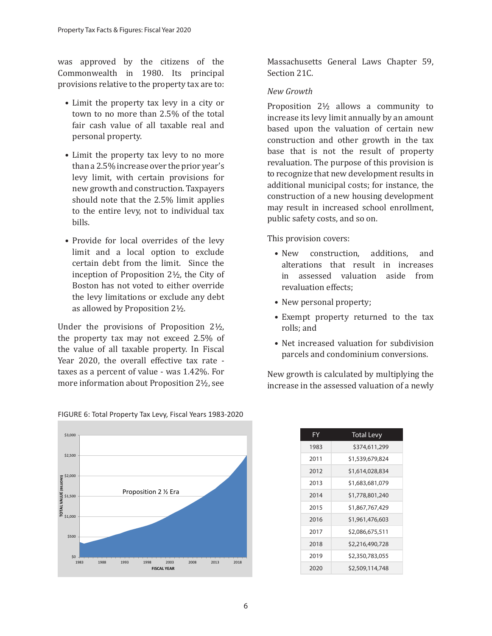was approved by the citizens of the Commonwealth in 1980. Its principal provisions relative to the property tax are to:

- Limit the property tax levy in a city or town to no more than 2.5% of the total fair cash value of all taxable real and personal property.
- Limit the property tax levy to no more than a 2.5% increase over the prior year's levy limit, with certain provisions for new growth and construction. Taxpayers should note that the 2.5% limit applies to the entire levy, not to individual tax bills.
- Provide for local overrides of the levy limit and a local option to exclude certain debt from the limit. Since the inception of Proposition 2½, the City of Boston has not voted to either override the levy limitations or exclude any debt as allowed by Proposition 2½.

Under the provisions of Proposition 2½, the property tax may not exceed 2.5% of the value of all taxable property. In Fiscal Year 2020, the overall effective tax rate taxes as a percent of value - was 1.42%. For more information about Proposition 2½, see

Massachusetts General Laws Chapter 59, Section 21C.

### *New Growth*

Proposition 2½ allows a community to increase its levy limit annually by an amount based upon the valuation of certain new construction and other growth in the tax base that is not the result of property revaluation. The purpose of this provision is to recognize that new development results in additional municipal costs; for instance, the construction of a new housing development may result in increased school enrollment, public safety costs, and so on.

This provision covers:

- New construction, additions, and alterations that result in increases in assessed valuation aside from revaluation effects;
- New personal property;
- Exempt property returned to the tax rolls; and
- Net increased valuation for subdivision parcels and condominium conversions.

New growth is calculated by multiplying the increase in the assessed valuation of a newly



| FY   | <b>Total Levy</b> |
|------|-------------------|
| 1983 | \$374,611,299     |
| 2011 | \$1,539,679,824   |
| 2012 | \$1,614,028,834   |
| 2013 | \$1,683,681,079   |
| 2014 | \$1,778,801,240   |
| 2015 | \$1,867,767,429   |
| 2016 | \$1,961,476,603   |
| 2017 | \$2,086,675,511   |
| 2018 | \$2,216,490,728   |
| 2019 | \$2,350,783,055   |
| 2020 | \$2,509,114,748   |
|      |                   |

#### FIGURE 6: Total Property Tax Levy, Fiscal Years 1983-2020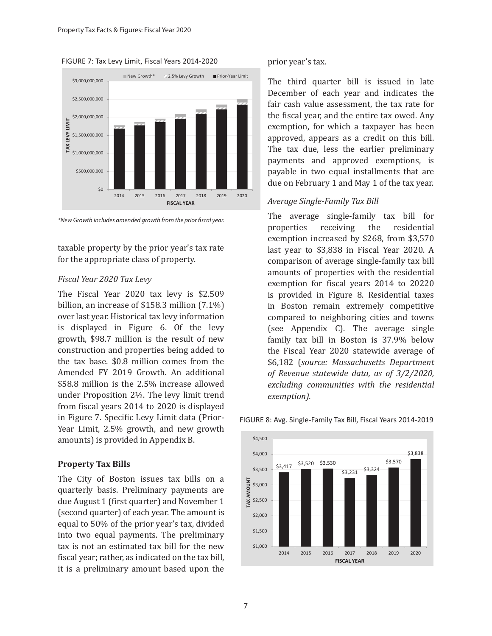



*\*New Growth includes amended growth from the prior fiscal year.*

taxable property by the prior year's tax rate for the appropriate class of property.

#### *Fiscal Year 2020 Tax Levy*

The Fiscal Year 2020 tax levy is \$2.509 billion, an increase of \$158.3 million (7.1%) over last year. Historical tax levy information is displayed in Figure 6. Of the levy growth, \$98.7 million is the result of new construction and properties being added to the tax base. \$0.8 million comes from the Amended FY 2019 Growth. An additional \$58.8 million is the 2.5% increase allowed under Proposition 2½. The levy limit trend from fiscal years 2014 to 2020 is displayed in Figure 7. Specific Levy Limit data (Prior-Year Limit, 2.5% growth, and new growth amounts) is provided in Appendix B.

#### **Property Tax Bills**

The City of Boston issues tax bills on a quarterly basis. Preliminary payments are due August 1 (first quarter) and November 1 (second quarter) of each year. The amount is equal to 50% of the prior year's tax, divided into two equal payments. The preliminary tax is not an estimated tax bill for the new fiscal year; rather, as indicated on the tax bill, it is a preliminary amount based upon the prior year's tax.

The third quarter bill is issued in late December of each year and indicates the fair cash value assessment, the tax rate for the fiscal year, and the entire tax owed. Any exemption, for which a taxpayer has been approved, appears as a credit on this bill. The tax due, less the earlier preliminary payments and approved exemptions, is payable in two equal installments that are due on February 1 and May 1 of the tax year.

#### *Average Single-Family Tax Bill*

The average single-family tax bill for<br>properties receiving the residential properties receiving the residential exemption increased by \$268, from \$3,570 last year to \$3,838 in Fiscal Year 2020. A comparison of average single-family tax bill amounts of properties with the residential exemption for fiscal years 2014 to 20220 is provided in Figure 8. Residential taxes in Boston remain extremely competitive compared to neighboring cities and towns (see Appendix C). The average single family tax bill in Boston is 37.9% below the Fiscal Year 2020 statewide average of \$6,182 (*source: Massachusetts Department of Revenue statewide data, as of 3/2/2020, excluding communities with the residential exemption).*



#### FIGURE 8: Avg. Single-Family Tax Bill, Fiscal Years 2014-2019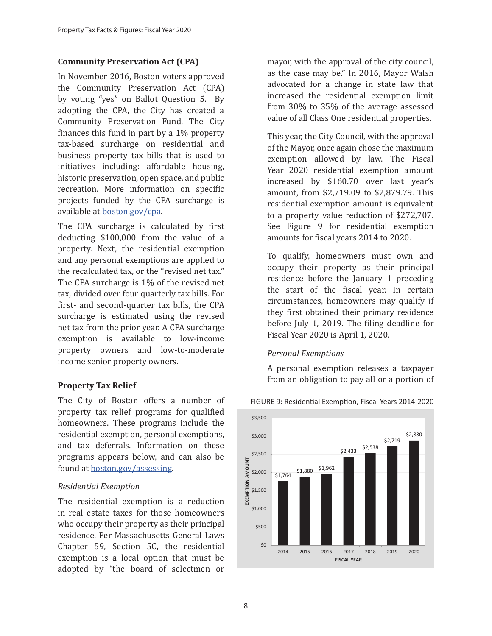## **Community Preservation Act (CPA)**

In November 2016, Boston voters approved the Community Preservation Act (CPA) by voting "yes" on Ballot Question 5. By adopting the CPA, the City has created a Community Preservation Fund. The City finances this fund in part by a 1% property tax-based surcharge on residential and business property tax bills that is used to initiatives including: affordable housing, historic preservation, open space, and public recreation. More information on specific projects funded by the CPA surcharge is available at boston.gov/cpa.

The CPA surcharge is calculated by first deducting \$100,000 from the value of a property. Next, the residential exemption and any personal exemptions are applied to the recalculated tax, or the "revised net tax." The CPA surcharge is 1% of the revised net tax, divided over four quarterly tax bills. For first- and second-quarter tax bills, the CPA surcharge is estimated using the revised net tax from the prior year. A CPA surcharge exemption is available to low-income property owners and low-to-moderate income senior property owners.

## **Property Tax Relief**

The City of Boston offers a number of property tax relief programs for qualified homeowners. These programs include the residential exemption, personal exemptions, and tax deferrals. Information on these programs appears below, and can also be found at boston.gov/assessing.

## *Residential Exemption*

The residential exemption is a reduction in real estate taxes for those homeowners who occupy their property as their principal residence. Per Massachusetts General Laws Chapter 59, Section 5C, the residential exemption is a local option that must be adopted by "the board of selectmen or mayor, with the approval of the city council, as the case may be." In 2016, Mayor Walsh advocated for a change in state law that increased the residential exemption limit from 30% to 35% of the average assessed value of all Class One residential properties.

This year, the City Council, with the approval of the Mayor, once again chose the maximum exemption allowed by law. The Fiscal Year 2020 residential exemption amount increased by \$160.70 over last year's amount, from \$2,719.09 to \$2,879.79. This residential exemption amount is equivalent to a property value reduction of \$272,707. See Figure 9 for residential exemption amounts for fiscal years 2014 to 2020.

To qualify, homeowners must own and occupy their property as their principal residence before the January 1 preceding the start of the fiscal year. In certain circumstances, homeowners may qualify if they first obtained their primary residence before July 1, 2019. The filing deadline for Fiscal Year 2020 is April 1, 2020.

# *Personal Exemptions*

A personal exemption releases a taxpayer from an obligation to pay all or a portion of



#### FIGURE 9: Residential Exemption, Fiscal Years 2014-2020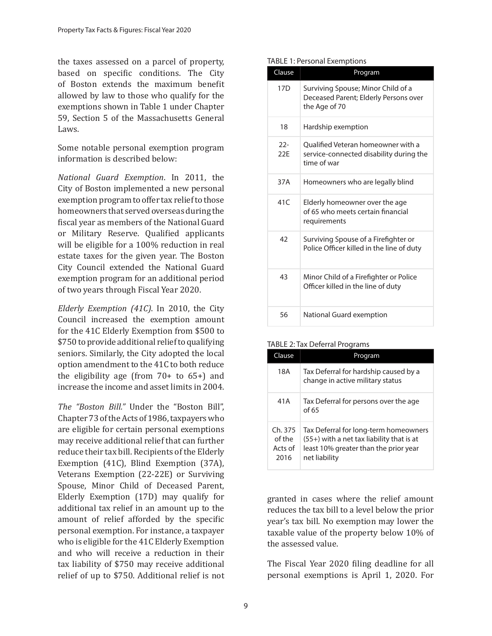the taxes assessed on a parcel of property, based on specific conditions. The City of Boston extends the maximum benefit allowed by law to those who qualify for the exemptions shown in Table 1 under Chapter 59, Section 5 of the Massachusetts General Laws.

Some notable personal exemption program information is described below:

*National Guard Exemption*. In 2011, the City of Boston implemented a new personal exemption program to offer tax relief to those homeowners that served overseas during the fiscal year as members of the National Guard or Military Reserve. Qualified applicants will be eligible for a 100% reduction in real estate taxes for the given year. The Boston City Council extended the National Guard exemption program for an additional period of two years through Fiscal Year 2020.

*Elderly Exemption (41C)*. In 2010, the City Council increased the exemption amount for the 41C Elderly Exemption from \$500 to \$750 to provide additional relief to qualifying seniors. Similarly, the City adopted the local option amendment to the 41C to both reduce the eligibility age (from 70+ to 65+) and increase the income and asset limits in 2004.

*The "Boston Bill."* Under the "Boston Bill", Chapter 73 of the Acts of 1986, taxpayers who are eligible for certain personal exemptions may receive additional relief that can further reduce their tax bill. Recipients of the Elderly Exemption (41C), Blind Exemption (37A), Veterans Exemption (22-22E) or Surviving Spouse, Minor Child of Deceased Parent, Elderly Exemption (17D) may qualify for additional tax relief in an amount up to the amount of relief afforded by the specific personal exemption. For instance, a taxpayer who is eligible for the 41C Elderly Exemption and who will receive a reduction in their tax liability of \$750 may receive additional relief of up to \$750. Additional relief is not

#### TABLE 1: Personal Exemptions

| Clause        | <u>Program</u>                                                                               |
|---------------|----------------------------------------------------------------------------------------------|
| 17D           | Surviving Spouse; Minor Child of a<br>Deceased Parent; Elderly Persons over<br>the Age of 70 |
| 18            | Hardship exemption                                                                           |
| $22 -$<br>22F | Oualified Veteran homeowner with a<br>service-connected disability during the<br>time of war |
| 37A           | Homeowners who are legally blind                                                             |
| 41C           | Elderly homeowner over the age<br>of 65 who meets certain financial<br>requirements          |
| 42            | Surviving Spouse of a Firefighter or<br>Police Officer killed in the line of duty            |
| 43            | Minor Child of a Firefighter or Police<br>Officer killed in the line of duty                 |
| 56            | National Guard exemption                                                                     |

#### TABLE 2: Tax Deferral Programs

| Clause                               | Program                                                                                                                                        |
|--------------------------------------|------------------------------------------------------------------------------------------------------------------------------------------------|
| 18A                                  | Tax Deferral for hardship caused by a<br>change in active military status                                                                      |
| 41A                                  | Tax Deferral for persons over the age<br>of 65                                                                                                 |
| Ch. 375<br>of the<br>Acts of<br>2016 | Tax Deferral for long-term homeowners<br>$(55+)$ with a net tax liability that is at<br>least 10% greater than the prior year<br>net liability |

granted in cases where the relief amount reduces the tax bill to a level below the prior year's tax bill. No exemption may lower the taxable value of the property below 10% of the assessed value.

The Fiscal Year 2020 filing deadline for all personal exemptions is April 1, 2020. For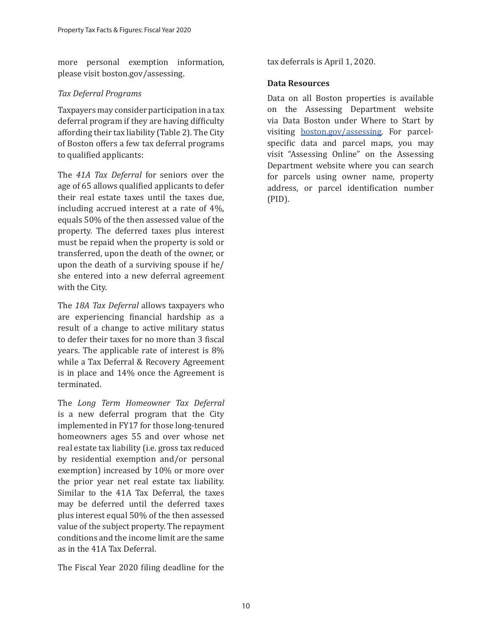more personal exemption information, please visit boston.gov/assessing.

# *Tax Deferral Programs*

Taxpayers may consider participation in a tax deferral program if they are having difficulty affording their tax liability (Table 2). The City of Boston offers a few tax deferral programs to qualified applicants:

The *41A Tax Deferral* for seniors over the age of 65 allows qualified applicants to defer their real estate taxes until the taxes due, including accrued interest at a rate of 4%, equals 50% of the then assessed value of the property. The deferred taxes plus interest must be repaid when the property is sold or transferred, upon the death of the owner, or upon the death of a surviving spouse if he/ she entered into a new deferral agreement with the City.

The *18A Tax Deferral* allows taxpayers who are experiencing financial hardship as a result of a change to active military status to defer their taxes for no more than 3 fiscal years. The applicable rate of interest is 8% while a Tax Deferral & Recovery Agreement is in place and 14% once the Agreement is terminated.

The *Long Term Homeowner Tax Deferral* is a new deferral program that the City implemented in FY17 for those long-tenured homeowners ages 55 and over whose net real estate tax liability (i.e. gross tax reduced by residential exemption and/or personal exemption) increased by 10% or more over the prior year net real estate tax liability. Similar to the 41A Tax Deferral, the taxes may be deferred until the deferred taxes plus interest equal 50% of the then assessed value of the subject property. The repayment conditions and the income limit are the same as in the 41A Tax Deferral.

The Fiscal Year 2020 filing deadline for the

tax deferrals is April 1, 2020.

# **Data Resources**

Data on all Boston properties is available on the Assessing Department website via Data Boston under Where to Start by visiting boston.gov/assessing. For parcelspecific data and parcel maps, you may visit "Assessing Online" on the Assessing Department website where you can search for parcels using owner name, property address, or parcel identification number (PID).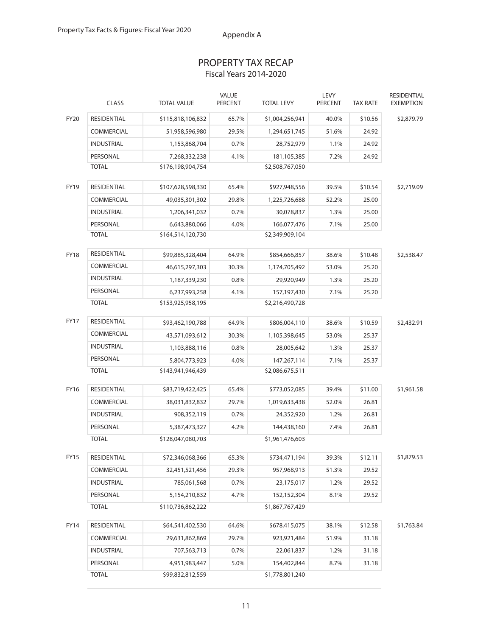# PROPERTY TAX RECAP Fiscal Years 2014-2020

|             | <b>CLASS</b>                                         | <b>TOTAL VALUE</b> | VALUE<br><b>PERCENT</b> | <b>TOTAL LEVY</b> | LEVY<br><b>PERCENT</b> | <b>TAX RATE</b> | RESIDENTIAL<br><b>EXEMPTION</b> |
|-------------|------------------------------------------------------|--------------------|-------------------------|-------------------|------------------------|-----------------|---------------------------------|
| <b>FY20</b> | <b>RESIDENTIAL</b>                                   | \$115,818,106,832  | 65.7%                   | \$1,004,256,941   | 40.0%                  | \$10.56         | \$2,879.79                      |
|             | <b>COMMERCIAL</b>                                    | 51,958,596,980     | 29.5%                   | 1,294,651,745     | 51.6%                  | 24.92           |                                 |
|             | <b>INDUSTRIAL</b>                                    | 1,153,868,704      | 0.7%                    | 28,752,979        | 1.1%                   | 24.92           |                                 |
|             | PERSONAL                                             | 7,268,332,238      | 4.1%                    | 181,105,385       | 7.2%                   | 24.92           |                                 |
|             | <b>TOTAL</b>                                         | \$176,198,904,754  |                         | \$2,508,767,050   |                        |                 |                                 |
| <b>FY19</b> | <b>RESIDENTIAL</b>                                   | \$107,628,598,330  | 65.4%                   | \$927,948,556     | 39.5%                  | \$10.54         | \$2,719.09                      |
|             | COMMERCIAL                                           | 49,035,301,302     | 29.8%                   | 1,225,726,688     | 52.2%                  | 25.00           |                                 |
|             | <b>INDUSTRIAL</b>                                    | 1,206,341,032      | 0.7%                    | 30,078,837        | 1.3%                   | 25.00           |                                 |
|             | PERSONAL                                             | 6,643,880,066      | 4.0%                    | 166,077,476       | 7.1%                   | 25.00           |                                 |
|             | <b>TOTAL</b>                                         | \$164,514,120,730  |                         | \$2,349,909,104   |                        |                 |                                 |
| <b>FY18</b> | RESIDENTIAL                                          | \$99,885,328,404   | 64.9%                   | \$854,666,857     | 38.6%                  | \$10.48         | \$2,538.47                      |
|             | <b>COMMERCIAL</b>                                    | 46,615,297,303     | 30.3%                   | 1,174,705,492     | 53.0%                  | 25.20           |                                 |
|             | <b>INDUSTRIAL</b>                                    | 1,187,339,230      | 0.8%                    | 29,920,949        | 1.3%                   | 25.20           |                                 |
|             | PERSONAL                                             | 6,237,993,258      | 4.1%                    | 157,197,430       | 7.1%                   | 25.20           |                                 |
|             | <b>TOTAL</b>                                         | \$153,925,958,195  |                         | \$2,216,490,728   |                        |                 |                                 |
| <b>FY17</b> | RESIDENTIAL                                          | \$93,462,190,788   | 64.9%                   | \$806,004,110     | 38.6%                  | \$10.59         | \$2,432.91                      |
|             | <b>COMMERCIAL</b>                                    | 43,571,093,612     | 30.3%                   | 1,105,398,645     | 53.0%                  | 25.37           |                                 |
|             | <b>INDUSTRIAL</b>                                    | 1,103,888,116      | 0.8%                    | 28,005,642        | 1.3%                   | 25.37           |                                 |
|             | PERSONAL                                             | 5,804,773,923      | 4.0%                    | 147,267,114       | 7.1%                   | 25.37           |                                 |
|             | <b>TOTAL</b><br>\$143,941,946,439<br>\$2,086,675,511 |                    |                         |                   |                        |                 |                                 |
| FY16        | <b>RESIDENTIAL</b>                                   | \$83,719,422,425   | 65.4%                   | \$773,052,085     | 39.4%                  | \$11.00         | \$1,961.58                      |
|             | <b>COMMERCIAL</b>                                    | 38,031,832,832     | 29.7%                   | 1,019,633,438     | 52.0%                  | 26.81           |                                 |
|             | <b>INDUSTRIAL</b>                                    | 908,352,119        | 0.7%                    | 24,352,920        | 1.2%                   | 26.81           |                                 |
|             | PERSONAL                                             | 5,387,473,327      | 4.2%                    | 144,438,160       | 7.4%                   | 26.81           |                                 |
|             | <b>TOTAL</b>                                         | \$128,047,080,703  |                         | \$1,961,476,603   |                        |                 |                                 |
| FY15        | RESIDENTIAL                                          | \$72,346,068,366   | 65.3%                   | \$734,471,194     | 39.3%                  | \$12.11         | \$1,879.53                      |
|             | COMMERCIAL                                           | 32,451,521,456     | 29.3%                   | 957,968,913       | 51.3%                  | 29.52           |                                 |
|             | <b>INDUSTRIAL</b>                                    | 785,061,568        | 0.7%                    | 23,175,017        | 1.2%                   | 29.52           |                                 |
|             | PERSONAL                                             | 5,154,210,832      | 4.7%                    | 152,152,304       | 8.1%                   | 29.52           |                                 |
|             | <b>TOTAL</b>                                         | \$110,736,862,222  |                         | \$1,867,767,429   |                        |                 |                                 |
| <b>FY14</b> | RESIDENTIAL                                          | \$64,541,402,530   | 64.6%                   | \$678,415,075     | 38.1%                  | \$12.58         | \$1,763.84                      |
|             | COMMERCIAL                                           | 29,631,862,869     | 29.7%                   | 923,921,484       | 51.9%                  | 31.18           |                                 |
|             | <b>INDUSTRIAL</b>                                    | 707,563,713        | 0.7%                    | 22,061,837        | 1.2%                   | 31.18           |                                 |
|             | PERSONAL                                             | 4,951,983,447      | 5.0%                    | 154,402,844       | 8.7%                   | 31.18           |                                 |
|             | <b>TOTAL</b>                                         | \$99,832,812,559   |                         | \$1,778,801,240   |                        |                 |                                 |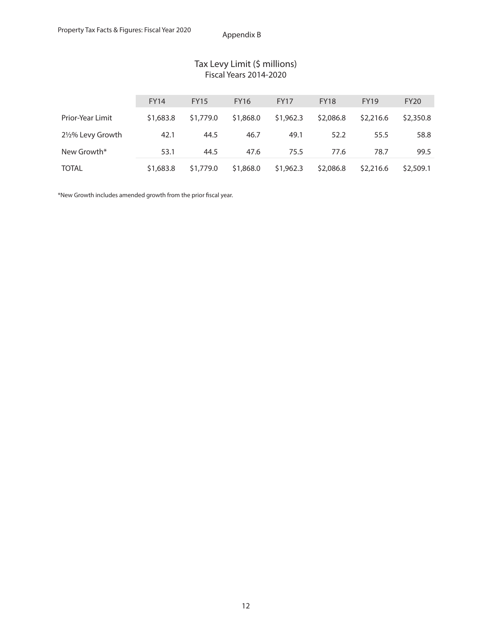| Tax Levy Limit (\$ millions)  |
|-------------------------------|
| <b>Fiscal Years 2014-2020</b> |

|                         | <b>FY14</b> | <b>FY15</b> | <b>FY16</b> | <b>FY17</b> | <b>FY18</b> | <b>FY19</b> | <b>FY20</b> |
|-------------------------|-------------|-------------|-------------|-------------|-------------|-------------|-------------|
| <b>Prior-Year Limit</b> | \$1,683.8   | \$1,779.0   | \$1,868.0   | \$1,962.3   | \$2,086.8   | \$2,216.6   | \$2,350.8   |
| 2½% Levy Growth         | 42.1        | 44.5        | 46.7        | 49.1        | 52.2        | 55.5        | 58.8        |
| New Growth*             | 53.1        | 44.5        | 47.6        | 75.5        | 77.6        | 78.7        | 99.5        |
| <b>TOTAL</b>            | \$1,683.8   | \$1,779.0   | \$1,868.0   | \$1,962.3   | \$2,086.8   | \$2,216.6   | \$2,509.1   |

\*New Growth includes amended growth from the prior fiscal year.